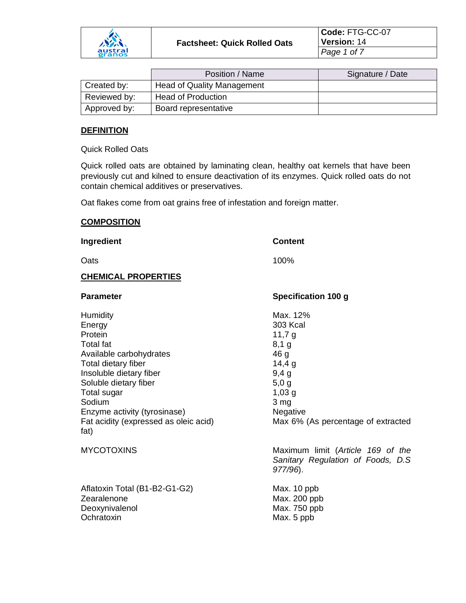

**Code:** FTG-CC-07 **Version:** 14 *Page 1 of 7*

|              | Position / Name                   | Signature / Date |
|--------------|-----------------------------------|------------------|
| Created by:  | <b>Head of Quality Management</b> |                  |
| Reviewed by: | <b>Head of Production</b>         |                  |
| Approved by: | Board representative              |                  |

#### **DEFINITION**

Quick Rolled Oats

Quick rolled oats are obtained by laminating clean, healthy oat kernels that have been previously cut and kilned to ensure deactivation of its enzymes. Quick rolled oats do not contain chemical additives or preservatives.

Oat flakes come from oat grains free of infestation and foreign matter.

#### **COMPOSITION**

**Ingredient Content** Oats and the contract of the contract of the contract of the contract of the contract of the contract of the contract of the contract of the contract of the contract of the contract of the contract of the contract of the c **CHEMICAL PROPERTIES Parameter Specification 100 g** Humidity **Max.** 12% Energy 303 Kcal Protein 11,7 g Total fat 8,1 g Available carbohydrates and the 46 g Total dietary fiber 14,4 g Insoluble dietary fiber 9,4 g Soluble dietary fiber 5,0 g Total sugar 1,03 g Sodium 3 mg Enzyme activity (tyrosinase) Negative Fat acidity (expressed as oleic acid) Max 6% (As percentage of extracted fat) MYCOTOXINS Maximum limit (*Article 169 of the Sanitary Regulation of Foods, D.S 977/96*). Aflatoxin Total (B1-B2-G1-G2) Max. 10 ppb Zearalenone Max. 200 ppb Deoxynivalenol Max. 750 ppb Ochratoxin Max. 5 ppb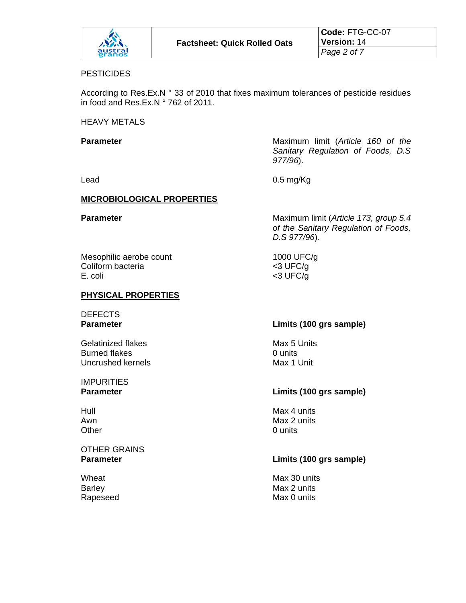

#### **PESTICIDES**

According to Res.Ex.N ° 33 of 2010 that fixes maximum tolerances of pesticide residues in food and Res.Ex.N ° 762 of 2011.

HEAVY METALS

**Parameter Parameter Maximum limit** (*Article 160 of the Sanitary Regulation of Foods, D.S 977/96*).

Lead 0.5 mg/Kg

#### **MICROBIOLOGICAL PROPERTIES**

**Parameter** Maximum limit (*Article 173, group 5.4 of the Sanitary Regulation of Foods, D.S 977/96*).

Mesophilic aerobe count 1000 UFC/g Coliform bacteria <3 UFC/g E. coli <3 UFC/g

# **PHYSICAL PROPERTIES**

DEFECTS

Gelatinized flakes Max 5 Units Burned flakes **0 units** 0 units Uncrushed kernels Max 1 Unit

**IMPURITIES** 

# OTHER GRAINS

# **Parameter Limits (100 grs sample)**

# **Parameter Limits (100 grs sample)**

Hull Max 4 units Awn Max 2 units Other 0 units

# **Parameter Limits (100 grs sample)**

Wheat Wheat **Max 30** units Barley Max 2 units Rapeseed Max 0 units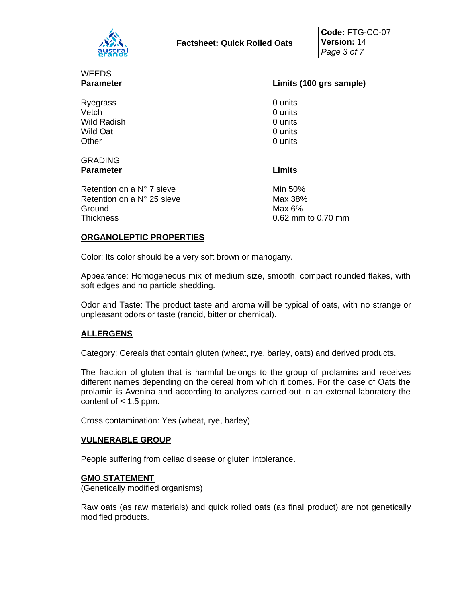| パネー               | <b>Factsheet: Quick Rolled Oats</b> | Code: FTG-CC-07<br><b>Version: 14</b> |
|-------------------|-------------------------------------|---------------------------------------|
| austral<br>granos |                                     | Page 3 of 7                           |

| WEEDS            |
|------------------|
| <b>Parameter</b> |

Ryegrass 0 units Vetch 0 units Wild Radish 0 units Wild Oat 0 units Other 0 units

#### **Parameter Limits (100 grs sample)**

#### **GRADING Parameter Limits**

Retention on a  $N^{\circ}$  7 sieve Min 50% Retention on a  $N^{\circ}$  25 sieve Max 38% Ground Max 6% Thickness 0.62 mm to 0.70 mm

# **ORGANOLEPTIC PROPERTIES**

Color: Its color should be a very soft brown or mahogany.

Appearance: Homogeneous mix of medium size, smooth, compact rounded flakes, with soft edges and no particle shedding.

Odor and Taste: The product taste and aroma will be typical of oats, with no strange or unpleasant odors or taste (rancid, bitter or chemical).

# **ALLERGENS**

Category: Cereals that contain gluten (wheat, rye, barley, oats) and derived products.

The fraction of gluten that is harmful belongs to the group of prolamins and receives different names depending on the cereal from which it comes. For the case of Oats the prolamin is Avenina and according to analyzes carried out in an external laboratory the content of  $< 1.5$  ppm.

Cross contamination: Yes (wheat, rye, barley)

#### **VULNERABLE GROUP**

People suffering from celiac disease or gluten intolerance.

#### **GMO STATEMENT**

(Genetically modified organisms)

Raw oats (as raw materials) and quick rolled oats (as final product) are not genetically modified products.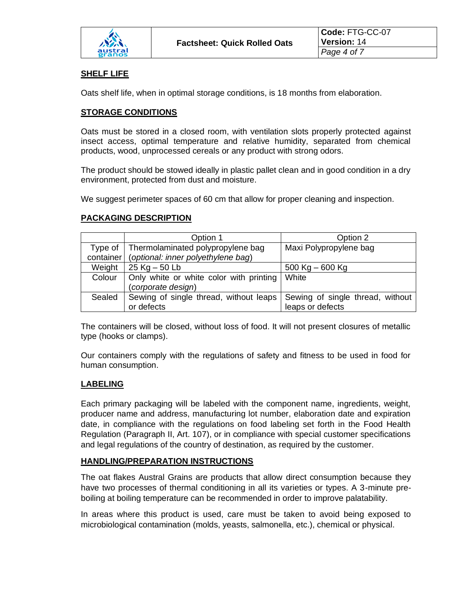

# **SHELF LIFE**

Oats shelf life, when in optimal storage conditions, is 18 months from elaboration.

#### **STORAGE CONDITIONS**

Oats must be stored in a closed room, with ventilation slots properly protected against insect access, optimal temperature and relative humidity, separated from chemical products, wood, unprocessed cereals or any product with strong odors.

The product should be stowed ideally in plastic pallet clean and in good condition in a dry environment, protected from dust and moisture.

We suggest perimeter spaces of 60 cm that allow for proper cleaning and inspection.

# **PACKAGING DESCRIPTION**

|         | Option 1                                       | Option 2                         |
|---------|------------------------------------------------|----------------------------------|
| Type of | Thermolaminated polypropylene bag              | Maxi Polypropylene bag           |
|         | container   (optional: inner polyethylene bag) |                                  |
| Weight  | $25$ Kg $-50$ Lb                               | $500$ Kg $-600$ Kg               |
| Colour  | Only white or white color with printing        | White                            |
|         | (corporate design)                             |                                  |
| Sealed  | Sewing of single thread, without leaps         | Sewing of single thread, without |
|         | or defects                                     | leaps or defects                 |

The containers will be closed, without loss of food. It will not present closures of metallic type (hooks or clamps).

Our containers comply with the regulations of safety and fitness to be used in food for human consumption.

# **LABELING**

Each primary packaging will be labeled with the component name, ingredients, weight, producer name and address, manufacturing lot number, elaboration date and expiration date, in compliance with the regulations on food labeling set forth in the Food Health Regulation (Paragraph II, Art. 107), or in compliance with special customer specifications and legal regulations of the country of destination, as required by the customer.

# **HANDLING/PREPARATION INSTRUCTIONS**

The oat flakes Austral Grains are products that allow direct consumption because they have two processes of thermal conditioning in all its varieties or types. A 3-minute preboiling at boiling temperature can be recommended in order to improve palatability.

In areas where this product is used, care must be taken to avoid being exposed to microbiological contamination (molds, yeasts, salmonella, etc.), chemical or physical.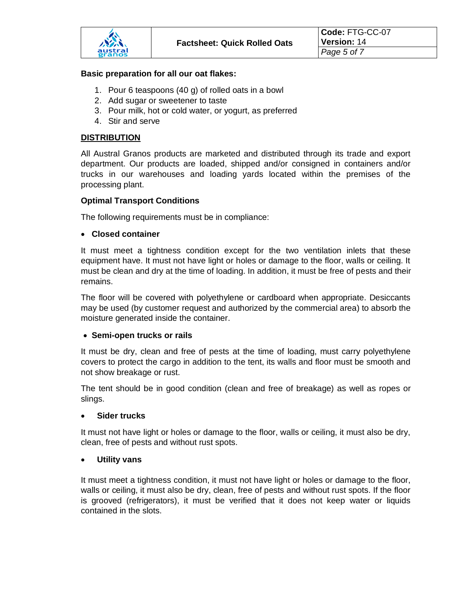#### **Basic preparation for all our oat flakes:**

- 1. Pour 6 teaspoons (40 g) of rolled oats in a bowl
- 2. Add sugar or sweetener to taste
- 3. Pour milk, hot or cold water, or yogurt, as preferred
- 4. Stir and serve

# **DISTRIBUTION**

All Austral Granos products are marketed and distributed through its trade and export department. Our products are loaded, shipped and/or consigned in containers and/or trucks in our warehouses and loading yards located within the premises of the processing plant.

#### **Optimal Transport Conditions**

The following requirements must be in compliance:

# • **Closed container**

It must meet a tightness condition except for the two ventilation inlets that these equipment have. It must not have light or holes or damage to the floor, walls or ceiling. It must be clean and dry at the time of loading. In addition, it must be free of pests and their remains.

The floor will be covered with polyethylene or cardboard when appropriate. Desiccants may be used (by customer request and authorized by the commercial area) to absorb the moisture generated inside the container.

# • **Semi-open trucks or rails**

It must be dry, clean and free of pests at the time of loading, must carry polyethylene covers to protect the cargo in addition to the tent, its walls and floor must be smooth and not show breakage or rust.

The tent should be in good condition (clean and free of breakage) as well as ropes or slings.

#### • **Sider trucks**

It must not have light or holes or damage to the floor, walls or ceiling, it must also be dry, clean, free of pests and without rust spots.

# • **Utility vans**

It must meet a tightness condition, it must not have light or holes or damage to the floor, walls or ceiling, it must also be dry, clean, free of pests and without rust spots. If the floor is grooved (refrigerators), it must be verified that it does not keep water or liquids contained in the slots.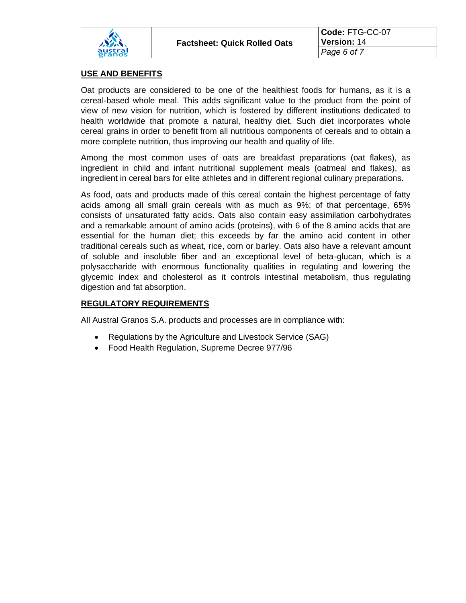

# **USE AND BENEFITS**

Oat products are considered to be one of the healthiest foods for humans, as it is a cereal-based whole meal. This adds significant value to the product from the point of view of new vision for nutrition, which is fostered by different institutions dedicated to health worldwide that promote a natural, healthy diet. Such diet incorporates whole cereal grains in order to benefit from all nutritious components of cereals and to obtain a more complete nutrition, thus improving our health and quality of life.

Among the most common uses of oats are breakfast preparations (oat flakes), as ingredient in child and infant nutritional supplement meals (oatmeal and flakes), as ingredient in cereal bars for elite athletes and in different regional culinary preparations.

As food, oats and products made of this cereal contain the highest percentage of fatty acids among all small grain cereals with as much as 9%; of that percentage, 65% consists of unsaturated fatty acids. Oats also contain easy assimilation carbohydrates and a remarkable amount of amino acids (proteins), with 6 of the 8 amino acids that are essential for the human diet; this exceeds by far the amino acid content in other traditional cereals such as wheat, rice, corn or barley. Oats also have a relevant amount of soluble and insoluble fiber and an exceptional level of beta-glucan, which is a polysaccharide with enormous functionality qualities in regulating and lowering the glycemic index and cholesterol as it controls intestinal metabolism, thus regulating digestion and fat absorption.

# **REGULATORY REQUIREMENTS**

All Austral Granos S.A. products and processes are in compliance with:

- Regulations by the Agriculture and Livestock Service (SAG)
- Food Health Regulation, Supreme Decree 977/96